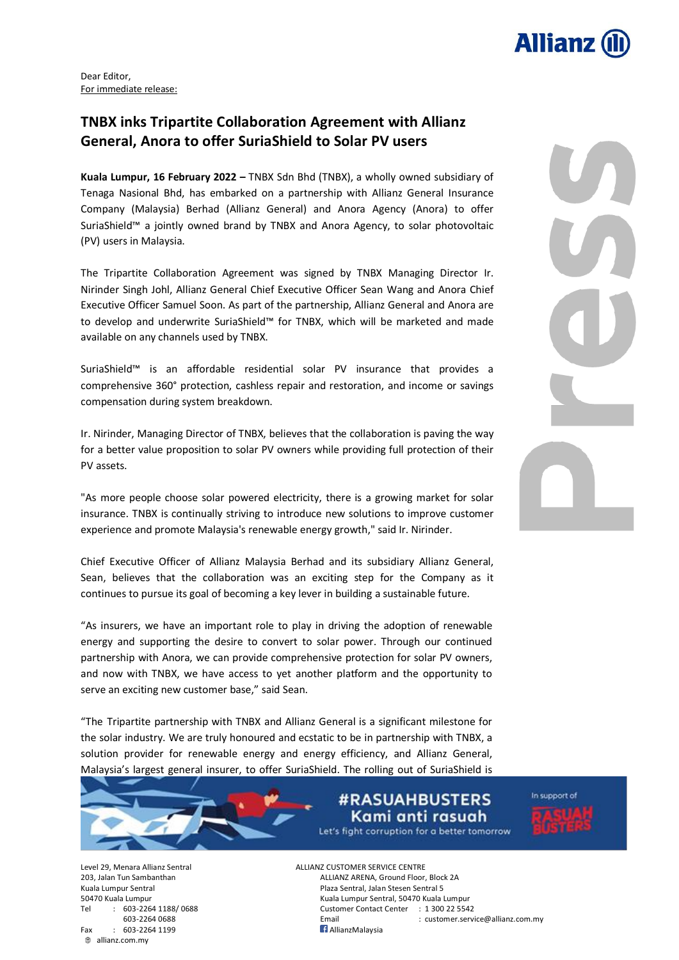

Dear Editor, For immediate release:

## **TNBX inks Tripartite Collaboration Agreement with Allianz General, Anora to offer SuriaShield to Solar PV users**

**Kuala Lumpur, 16 February 2022 –** TNBX Sdn Bhd (TNBX), a wholly owned subsidiary of Tenaga Nasional Bhd, has embarked on a partnership with Allianz General Insurance Company (Malaysia) Berhad (Allianz General) and Anora Agency (Anora) to offer SuriaShield™ a jointly owned brand by TNBX and Anora Agency, to solar photovoltaic (PV) users in Malaysia.

The Tripartite Collaboration Agreement was signed by TNBX Managing Director Ir. Nirinder Singh Johl, Allianz General Chief Executive Officer Sean Wang and Anora Chief Executive Officer Samuel Soon. As part of the partnership, Allianz General and Anora are to develop and underwrite SuriaShield™ for TNBX, which will be marketed and made available on any channels used by TNBX.

SuriaShield™ is an affordable residential solar PV insurance that provides a comprehensive 360° protection, cashless repair and restoration, and income or savings compensation during system breakdown.

Ir. Nirinder, Managing Director of TNBX, believes that the collaboration is paving the way for a better value proposition to solar PV owners while providing full protection of their PV assets.

"As more people choose solar powered electricity, there is a growing market for solar insurance. TNBX is continually striving to introduce new solutions to improve customer experience and promote Malaysia's renewable energy growth," said Ir. Nirinder.

Chief Executive Officer of Allianz Malaysia Berhad and its subsidiary Allianz General, Sean, believes that the collaboration was an exciting step for the Company as it continues to pursue its goal of becoming a key lever in building a sustainable future.

"As insurers, we have an important role to play in driving the adoption of renewable energy and supporting the desire to convert to solar power. Through our continued partnership with Anora, we can provide comprehensive protection for solar PV owners, and now with TNBX, we have access to yet another platform and the opportunity to serve an exciting new customer base," said Sean.

"The Tripartite partnership with TNBX and Allianz General is a significant milestone for the solar industry. We are truly honoured and ecstatic to be in partnership with TNBX, a solution provider for renewable energy and energy efficiency, and Allianz General, Malaysia's largest general insurer, to offer SuriaShield. The rolling out of SuriaShield is

> **#RASUAHBUSTERS** Kami anti rasuah Let's fight corruption for a better tomorrow

In support of

Level 29, Menara Allianz Sentral ALLIANZ CUSTOMER SERVICE CENTRE Fax : 603-2264 1199 **AllianzMalaysia** allianz.com.my

203, Jalan Tun Sambanthan ALLIANZ ARENA, Ground Floor, Block 2A Kuala Lumpur Sentral Plaza Sentral, Jalan Stesen Sentral 5 50470 Kuala Lumpur Kuala Lumpur Sentral, 50470 Kuala Lumpur Tel : 603-2264 1188/ 0688 Customer Contact Center : 1 300 22 5542 603-2264 0688 Email : customer.service@allianz.com.my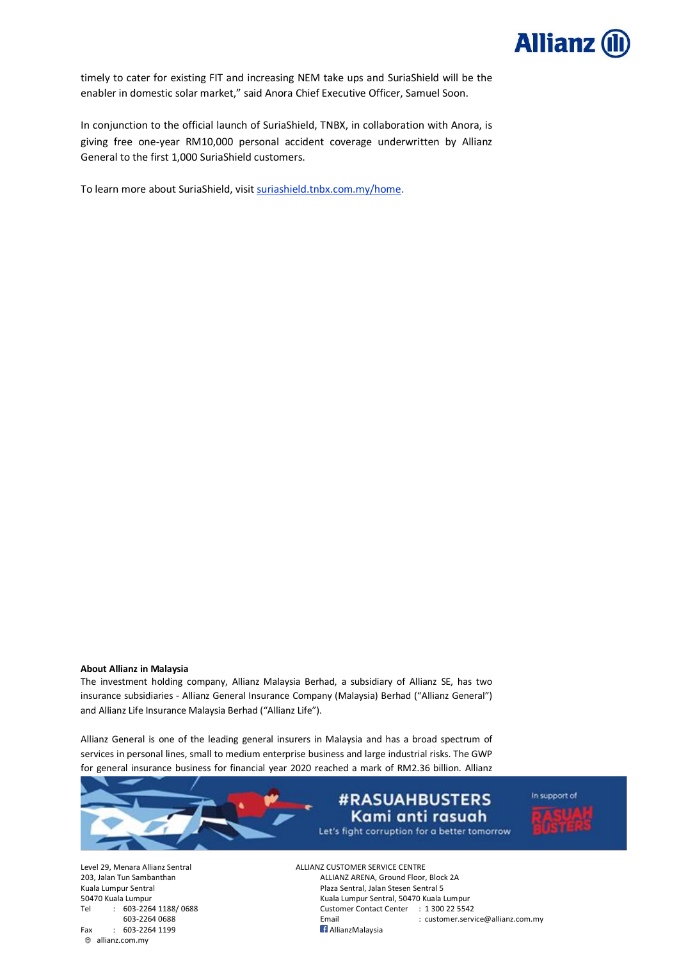

timely to cater for existing FIT and increasing NEM take ups and SuriaShield will be the enabler in domestic solar market," said Anora Chief Executive Officer, Samuel Soon.

In conjunction to the official launch of SuriaShield, TNBX, in collaboration with Anora, is giving free one-year RM10,000 personal accident coverage underwritten by Allianz General to the first 1,000 SuriaShield customers.

To learn more about SuriaShield, visit [suriashield.tnbx.com.my/home.](https://suriashield.tnbx.com.my/home)

#### **About Allianz in Malaysia**

The investment holding company, Allianz Malaysia Berhad, a subsidiary of Allianz SE, has two insurance subsidiaries - Allianz General Insurance Company (Malaysia) Berhad ("Allianz General") and Allianz Life Insurance Malaysia Berhad ("Allianz Life").

Allianz General is one of the leading general insurers in Malaysia and has a broad spectrum of services in personal lines, small to medium enterprise business and large industrial risks. The GWP for general insurance business for financial year 2020 reached a mark of RM2.36 billion. Allianz



Fax : 603-2264 1199 **AllianzMalaysia** allianz.com.my

Level 29, Menara Allianz Sentral **ALLIANZ CUSTOMER SERVICE CENTRE**<br>203. Jalan Tun Sambanthan Allianz ARENA. Ground Floor. ALLIANZ ARENA, Ground Floor, Block 2A Kuala Lumpur Sentral **Plaza Sentral Sentral Sentral Sentral Sentral Sentral Sentral Sentral Sentral S** 50470 Kuala Lumpur Kuala Lumpur Sentral, 50470 Kuala Lumpur Tel : 603-2264 1188/ 0688 Customer Contact Center : 1 300 22 5542 603-2264 0688 Email : customer.service@allianz.com.my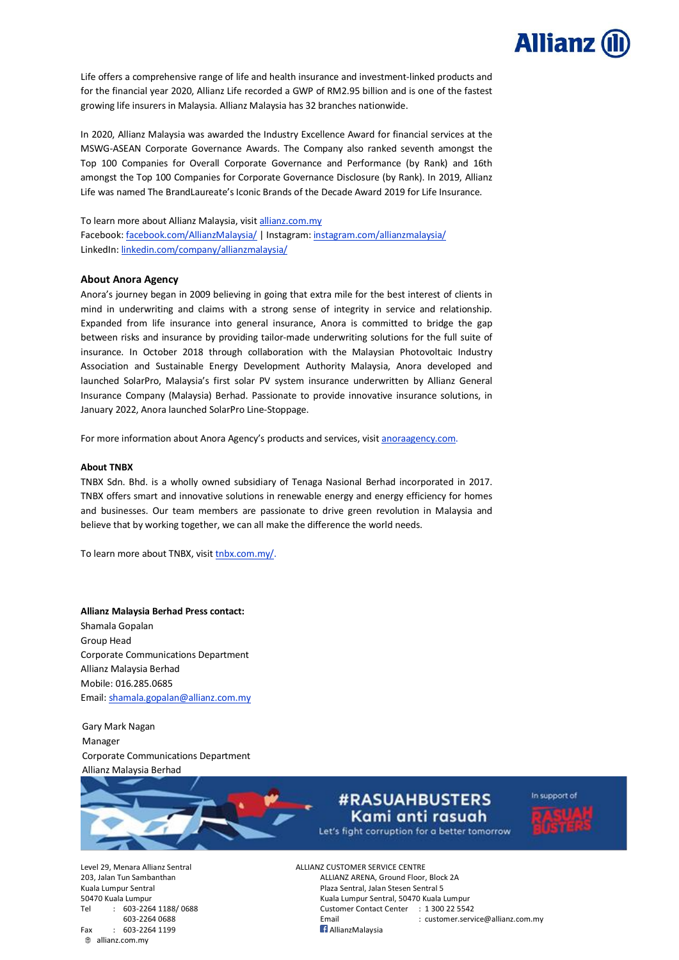

Life offers a comprehensive range of life and health insurance and investment-linked products and for the financial year 2020, Allianz Life recorded a GWP of RM2.95 billion and is one of the fastest growing life insurers in Malaysia. Allianz Malaysia has 32 branches nationwide.

In 2020, Allianz Malaysia was awarded the Industry Excellence Award for financial services at the MSWG-ASEAN Corporate Governance Awards. The Company also ranked seventh amongst the Top 100 Companies for Overall Corporate Governance and Performance (by Rank) and 16th amongst the Top 100 Companies for Corporate Governance Disclosure (by Rank). In 2019, Allianz Life was named The BrandLaureate's Iconic Brands of the Decade Award 2019 for Life Insurance.

## To learn more about Allianz Malaysia, visit [allianz.com.my](http://www.allianz.com.my/)

Facebook: [facebook.com/AllianzMalaysia/](https://www.facebook.com/AllianzMalaysia/) | Instagram: [instagram.com/allianzmalaysia/](http://www.instagram.com/allianzmalaysia/) LinkedIn: [linkedin.com/company/allianzmalaysia/](https://www.linkedin.com/company/allianzmalaysia/)

### **About Anora Agency**

Anora's journey began in 2009 believing in going that extra mile for the best interest of clients in mind in underwriting and claims with a strong sense of integrity in service and relationship. Expanded from life insurance into general insurance, Anora is committed to bridge the gap between risks and insurance by providing tailor-made underwriting solutions for the full suite of insurance. In October 2018 through collaboration with the Malaysian Photovoltaic Industry Association and Sustainable Energy Development Authority Malaysia, Anora developed and launched SolarPro, Malaysia's first solar PV system insurance underwritten by Allianz General Insurance Company (Malaysia) Berhad. Passionate to provide innovative insurance solutions, in January 2022, Anora launched SolarPro Line-Stoppage.

For more information about Anora Agency's products and services, visit [anoraagency.com.](http://www.anoraagency.com/)

#### **About TNBX**

TNBX Sdn. Bhd. is a wholly owned subsidiary of Tenaga Nasional Berhad incorporated in 2017. TNBX offers smart and innovative solutions in renewable energy and energy efficiency for homes and businesses. Our team members are passionate to drive green revolution in Malaysia and believe that by working together, we can all make the difference the world needs.

To learn more about TNBX, visit [tnbx.com.my/.](https://www.tnbx.com.my/)

**Allianz Malaysia Berhad Press contact:** Shamala Gopalan Group Head Corporate Communications Department Allianz Malaysia Berhad Mobile: 016.285.0685 Email: [shamala.gopalan@allianz.com.my](mailto:shamala.gopalan@allianz.com.my)

Gary Mark Nagan Manager Corporate Communications Department Allianz Malaysia Berhad



# **#RASUAHBUSTERS** Kami anti rasuah



Let's fight corruption for a better tomorrow

Fax : 603-2264 1199 **AllianzMalaysia** allianz.com.my

Level 29, Menara Allianz Sentral ALLIANZ CUSTOMER SERVICE CENTRE 203, Jalan Tun Sambanthan ALLIANZ ARENA, Ground Floor, Block 2A Kuala Lumpur Sentral **Plaza Sentral, Jalan Stesen Sentral 5** 50470 Kuala Lumpur Kuala Lumpur Sentral, 50470 Kuala Lumpur Tel : 603-2264 1188/ 0688 Customer Contact Center : 1 300 22 5542 603-2264 0688 Email : customer.service@allianz.com.my